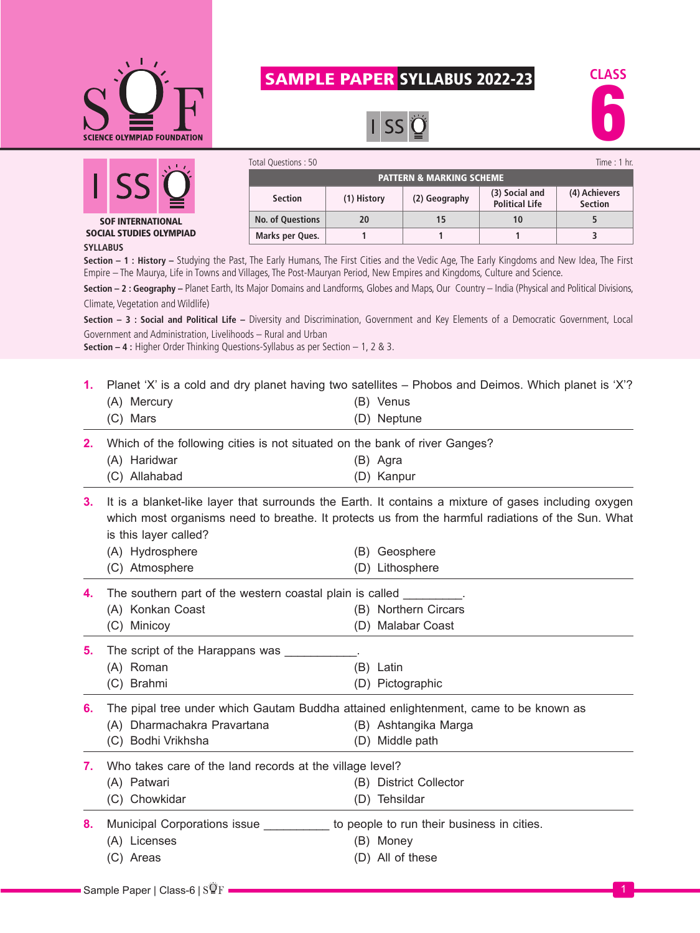

## SAMPLE PAPER SYLLABUS 2022-23

**Section (1) History (2) Geography (3) Social and** 

**No. of Questions 20 15 10 5 Marks per Ques. 1 1 1 3**

PATTERN & MARKING SCHEME

Total Questions : 50 Time : 1 hr.

**Political Life**



**(4) Achievers Section**



**SYLLABUS** SOCIAL STUDIES OLYMPIAD

**Section – 1 : History –** Studying the Past, The Early Humans, The First Cities and the Vedic Age, The Early Kingdoms and New Idea, The First Empire – The Maurya, Life in Towns and Villages, The Post-Mauryan Period, New Empires and Kingdoms, Culture and Science.

**Section – 2 : Geography –** Planet Earth, Its Major Domains and Landforms, Globes and Maps, Our Country – India (Physical and Political Divisions, Climate, Vegetation and Wildlife)

**Section – 3 : Social and Political Life –** Diversity and Discrimination, Government and Key Elements of a Democratic Government, Local Government and Administration, Livelihoods – Rural and Urban

**Section – 4 :** Higher Order Thinking Questions-Syllabus as per Section – 1, 2 & 3.

**1.** Planet 'X' is a cold and dry planet having two satellites – Phobos and Deimos. Which planet is 'X'?

|    | (A) Mercury                                                                | (B) Venus                                                                                               |
|----|----------------------------------------------------------------------------|---------------------------------------------------------------------------------------------------------|
|    | (C) Mars                                                                   | (D) Neptune                                                                                             |
| 2. | Which of the following cities is not situated on the bank of river Ganges? |                                                                                                         |
|    | (A) Haridwar                                                               | (B) Agra                                                                                                |
|    | (C) Allahabad                                                              | (D) Kanpur                                                                                              |
|    |                                                                            | 3. It is a blanket-like layer that surrounds the Earth. It contains a mixture of gases including oxygen |

which most organisms need to breathe. It protects us from the harmful radiations of the Sun. What is this layer called?

| (A) Hydrosphere | (B) Geosphere   |
|-----------------|-----------------|
| (C) Atmosphere  | (D) Lithosphere |

| 4. The southern part of the western coastal plain is called |                      |  |  |
|-------------------------------------------------------------|----------------------|--|--|
| (A) Konkan Coast                                            | (B) Northern Circars |  |  |
| (C) Minicoy                                                 | (D) Malabar Coast    |  |  |

**5.** The script of the Harappans was

**6.** The pipal tree under which Gautam Buddha attained enlightenment, came to be known as

(A) Dharmachakra Pravartana (B) Ashtangika Marga (C) Bodhi Vrikhsha (D) Middle path

**7.** Who takes care of the land records at the village level?

(A) Patwari (B) District Collector

(C) Chowkidar (D) Tehsildar

| Municipal Corporations issue | to people to run their business in cities. |
|------------------------------|--------------------------------------------|

- (A) Licenses (B) Money
- 
- 
- (C) Areas (D) All of these